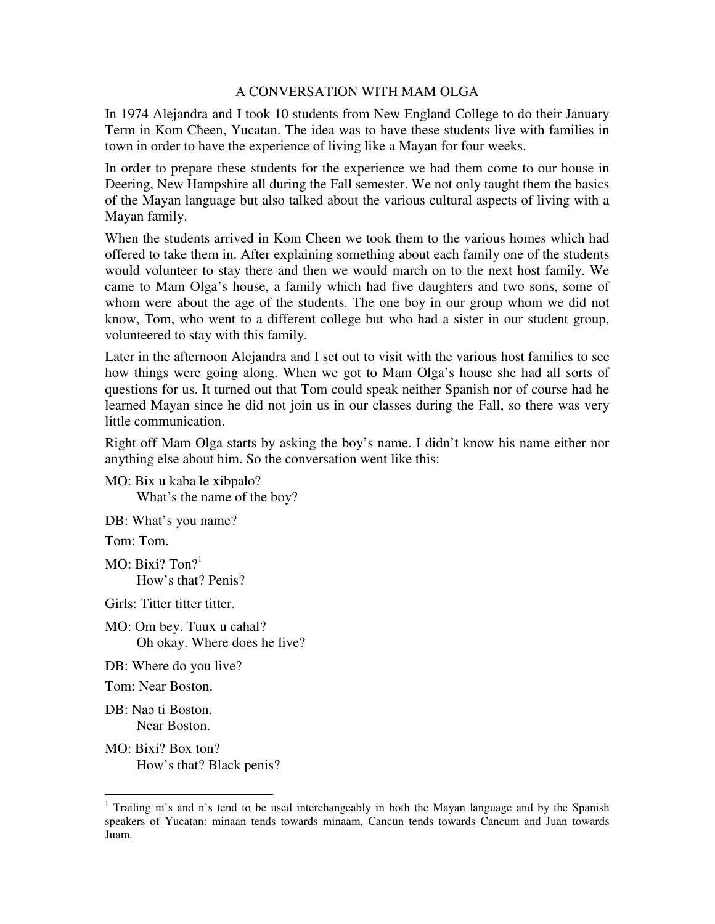## A CONVERSATION WITH MAM OLGA

In 1974 Alejandra and I took 10 students from New England College to do their January Term in Kom Cħeen, Yucatan. The idea was to have these students live with families in town in order to have the experience of living like a Mayan for four weeks.

In order to prepare these students for the experience we had them come to our house in Deering, New Hampshire all during the Fall semester. We not only taught them the basics of the Mayan language but also talked about the various cultural aspects of living with a Mayan family.

When the students arrived in Kom Cħeen we took them to the various homes which had offered to take them in. After explaining something about each family one of the students would volunteer to stay there and then we would march on to the next host family. We came to Mam Olga's house, a family which had five daughters and two sons, some of whom were about the age of the students. The one boy in our group whom we did not know, Tom, who went to a different college but who had a sister in our student group, volunteered to stay with this family.

Later in the afternoon Alejandra and I set out to visit with the various host families to see how things were going along. When we got to Mam Olga's house she had all sorts of questions for us. It turned out that Tom could speak neither Spanish nor of course had he learned Mayan since he did not join us in our classes during the Fall, so there was very little communication.

Right off Mam Olga starts by asking the boy's name. I didn't know his name either nor anything else about him. So the conversation went like this:

MO: Bix u kaba le xibpalo? What's the name of the boy?

DB: What's you name?

Tom: Tom.

MO: Bixi?  $\text{Tom}^2$ How's that? Penis?

Girls: Titter titter titter.

MO: Om bey. Tuux u cahal? Oh okay. Where does he live?

DB: Where do you live?

Tom: Near Boston.

DB: Nao ti Boston. Near Boston.

-

MO: Bixi? Box ton? How's that? Black penis?

<sup>&</sup>lt;sup>1</sup> Trailing m's and n's tend to be used interchangeably in both the Mayan language and by the Spanish speakers of Yucatan: minaan tends towards minaam, Cancun tends towards Cancum and Juan towards Juam.